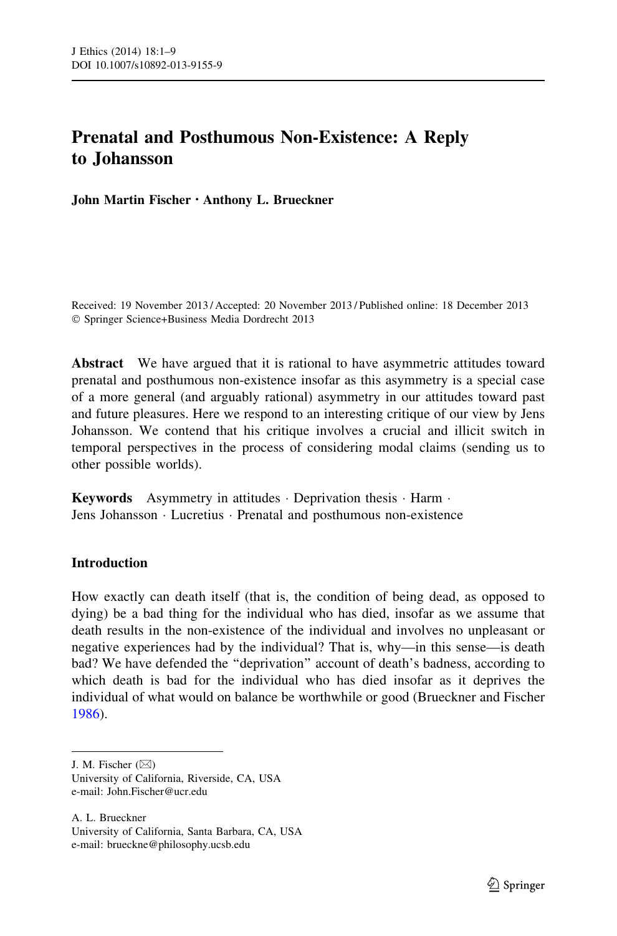# Prenatal and Posthumous Non-Existence: A Reply to Johansson

John Martin Fischer • Anthony L. Brueckner

Received: 19 November 2013 / Accepted: 20 November 2013 / Published online: 18 December 2013 - Springer Science+Business Media Dordrecht 2013

Abstract We have argued that it is rational to have asymmetric attitudes toward prenatal and posthumous non-existence insofar as this asymmetry is a special case of a more general (and arguably rational) asymmetry in our attitudes toward past and future pleasures. Here we respond to an interesting critique of our view by Jens Johansson. We contend that his critique involves a crucial and illicit switch in temporal perspectives in the process of considering modal claims (sending us to other possible worlds).

Keywords Asymmetry in attitudes · Deprivation thesis · Harm · Jens Johansson - Lucretius - Prenatal and posthumous non-existence

## **Introduction**

How exactly can death itself (that is, the condition of being dead, as opposed to dying) be a bad thing for the individual who has died, insofar as we assume that death results in the non-existence of the individual and involves no unpleasant or negative experiences had by the individual? That is, why—in this sense—is death bad? We have defended the ''deprivation'' account of death's badness, according to which death is bad for the individual who has died insofar as it deprives the individual of what would on balance be worthwhile or good (Brueckner and Fischer [1986\)](#page-8-0).

A. L. Brueckner University of California, Santa Barbara, CA, USA e-mail: brueckne@philosophy.ucsb.edu

J. M. Fischer  $(\boxtimes)$ 

University of California, Riverside, CA, USA e-mail: John.Fischer@ucr.edu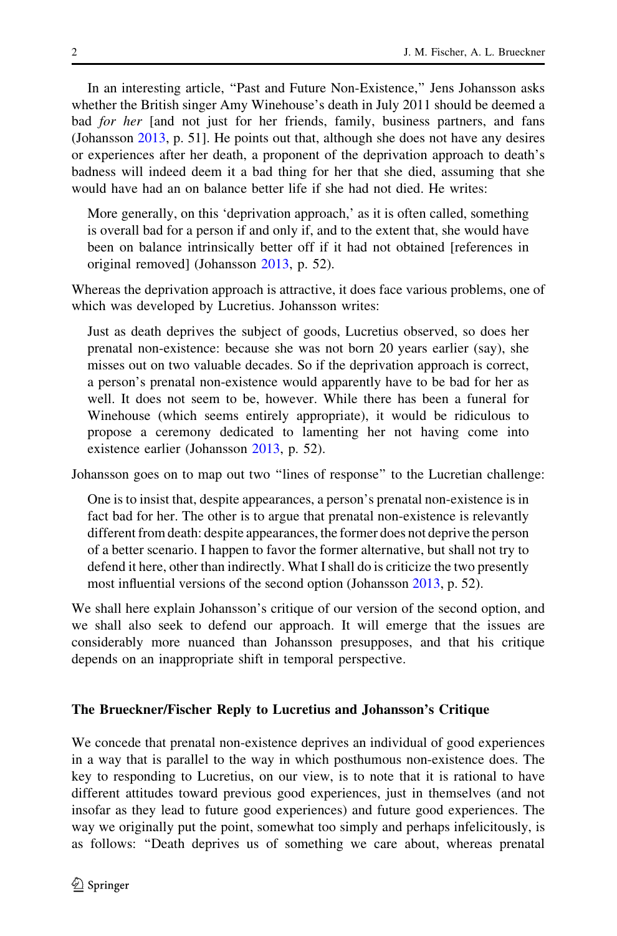In an interesting article, "Past and Future Non-Existence," Jens Johansson asks whether the British singer Amy Winehouse's death in July 2011 should be deemed a bad for her [and not just for her friends, family, business partners, and fans (Johansson [2013](#page-8-0), p. 51]. He points out that, although she does not have any desires or experiences after her death, a proponent of the deprivation approach to death's badness will indeed deem it a bad thing for her that she died, assuming that she would have had an on balance better life if she had not died. He writes:

More generally, on this 'deprivation approach,' as it is often called, something is overall bad for a person if and only if, and to the extent that, she would have been on balance intrinsically better off if it had not obtained [references in original removed] (Johansson [2013](#page-8-0), p. 52).

Whereas the deprivation approach is attractive, it does face various problems, one of which was developed by Lucretius. Johansson writes:

Just as death deprives the subject of goods, Lucretius observed, so does her prenatal non-existence: because she was not born 20 years earlier (say), she misses out on two valuable decades. So if the deprivation approach is correct, a person's prenatal non-existence would apparently have to be bad for her as well. It does not seem to be, however. While there has been a funeral for Winehouse (which seems entirely appropriate), it would be ridiculous to propose a ceremony dedicated to lamenting her not having come into existence earlier (Johansson [2013,](#page-8-0) p. 52).

Johansson goes on to map out two ''lines of response'' to the Lucretian challenge:

One is to insist that, despite appearances, a person's prenatal non-existence is in fact bad for her. The other is to argue that prenatal non-existence is relevantly different from death: despite appearances, the former does not deprive the person of a better scenario. I happen to favor the former alternative, but shall not try to defend it here, other than indirectly. What I shall do is criticize the two presently most influential versions of the second option (Johansson [2013,](#page-8-0) p. 52).

We shall here explain Johansson's critique of our version of the second option, and we shall also seek to defend our approach. It will emerge that the issues are considerably more nuanced than Johansson presupposes, and that his critique depends on an inappropriate shift in temporal perspective.

### The Brueckner/Fischer Reply to Lucretius and Johansson's Critique

We concede that prenatal non-existence deprives an individual of good experiences in a way that is parallel to the way in which posthumous non-existence does. The key to responding to Lucretius, on our view, is to note that it is rational to have different attitudes toward previous good experiences, just in themselves (and not insofar as they lead to future good experiences) and future good experiences. The way we originally put the point, somewhat too simply and perhaps infelicitously, is as follows: ''Death deprives us of something we care about, whereas prenatal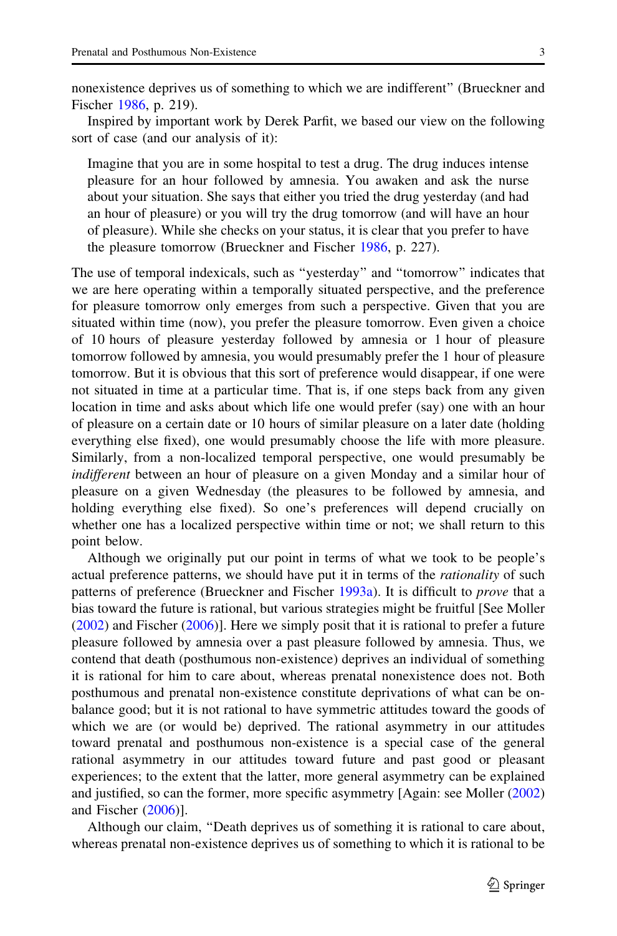nonexistence deprives us of something to which we are indifferent'' (Brueckner and Fischer [1986,](#page-8-0) p. 219).

Inspired by important work by Derek Parfit, we based our view on the following sort of case (and our analysis of it):

Imagine that you are in some hospital to test a drug. The drug induces intense pleasure for an hour followed by amnesia. You awaken and ask the nurse about your situation. She says that either you tried the drug yesterday (and had an hour of pleasure) or you will try the drug tomorrow (and will have an hour of pleasure). While she checks on your status, it is clear that you prefer to have the pleasure tomorrow (Brueckner and Fischer [1986](#page-8-0), p. 227).

The use of temporal indexicals, such as ''yesterday'' and ''tomorrow'' indicates that we are here operating within a temporally situated perspective, and the preference for pleasure tomorrow only emerges from such a perspective. Given that you are situated within time (now), you prefer the pleasure tomorrow. Even given a choice of 10 hours of pleasure yesterday followed by amnesia or 1 hour of pleasure tomorrow followed by amnesia, you would presumably prefer the 1 hour of pleasure tomorrow. But it is obvious that this sort of preference would disappear, if one were not situated in time at a particular time. That is, if one steps back from any given location in time and asks about which life one would prefer (say) one with an hour of pleasure on a certain date or 10 hours of similar pleasure on a later date (holding everything else fixed), one would presumably choose the life with more pleasure. Similarly, from a non-localized temporal perspective, one would presumably be indifferent between an hour of pleasure on a given Monday and a similar hour of pleasure on a given Wednesday (the pleasures to be followed by amnesia, and holding everything else fixed). So one's preferences will depend crucially on whether one has a localized perspective within time or not; we shall return to this point below.

Although we originally put our point in terms of what we took to be people's actual preference patterns, we should have put it in terms of the rationality of such patterns of preference (Brueckner and Fischer [1993a\)](#page-8-0). It is difficult to prove that a bias toward the future is rational, but various strategies might be fruitful [See Moller [\(2002](#page-8-0)) and Fischer ([2006\)](#page-8-0)]. Here we simply posit that it is rational to prefer a future pleasure followed by amnesia over a past pleasure followed by amnesia. Thus, we contend that death (posthumous non-existence) deprives an individual of something it is rational for him to care about, whereas prenatal nonexistence does not. Both posthumous and prenatal non-existence constitute deprivations of what can be onbalance good; but it is not rational to have symmetric attitudes toward the goods of which we are (or would be) deprived. The rational asymmetry in our attitudes toward prenatal and posthumous non-existence is a special case of the general rational asymmetry in our attitudes toward future and past good or pleasant experiences; to the extent that the latter, more general asymmetry can be explained and justified, so can the former, more specific asymmetry [Again: see Moller [\(2002](#page-8-0)) and Fischer ([2006\)](#page-8-0)].

Although our claim, ''Death deprives us of something it is rational to care about, whereas prenatal non-existence deprives us of something to which it is rational to be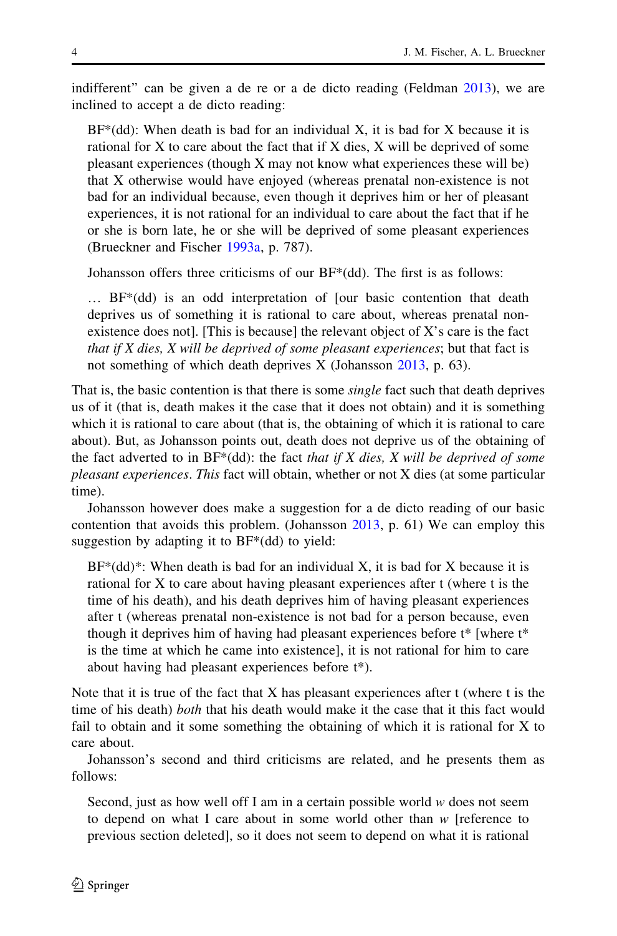indifferent" can be given a de re or a de dicto reading (Feldman [2013](#page-8-0)), we are inclined to accept a de dicto reading:

 $BF^*(dd)$ : When death is bad for an individual X, it is bad for X because it is rational for X to care about the fact that if X dies, X will be deprived of some pleasant experiences (though X may not know what experiences these will be) that X otherwise would have enjoyed (whereas prenatal non-existence is not bad for an individual because, even though it deprives him or her of pleasant experiences, it is not rational for an individual to care about the fact that if he or she is born late, he or she will be deprived of some pleasant experiences (Brueckner and Fischer [1993a,](#page-8-0) p. 787).

Johansson offers three criticisms of our BF\*(dd). The first is as follows:

… BF\*(dd) is an odd interpretation of [our basic contention that death deprives us of something it is rational to care about, whereas prenatal nonexistence does not. [This is because] the relevant object of  $X$ 's care is the fact that if  $X$  dies,  $X$  will be deprived of some pleasant experiences; but that fact is not something of which death deprives X (Johansson [2013](#page-8-0), p. 63).

That is, the basic contention is that there is some *single* fact such that death deprives us of it (that is, death makes it the case that it does not obtain) and it is something which it is rational to care about (that is, the obtaining of which it is rational to care about). But, as Johansson points out, death does not deprive us of the obtaining of the fact adverted to in  $BF^*(dd)$ : the fact that if X dies, X will be deprived of some pleasant experiences. This fact will obtain, whether or not X dies (at some particular time).

Johansson however does make a suggestion for a de dicto reading of our basic contention that avoids this problem. (Johansson [2013,](#page-8-0) p. 61) We can employ this suggestion by adapting it to BF\*(dd) to yield:

 $BF^*(dd)^*$ : When death is bad for an individual X, it is bad for X because it is rational for X to care about having pleasant experiences after t (where t is the time of his death), and his death deprives him of having pleasant experiences after t (whereas prenatal non-existence is not bad for a person because, even though it deprives him of having had pleasant experiences before t\* [where t\* is the time at which he came into existence], it is not rational for him to care about having had pleasant experiences before t\*).

Note that it is true of the fact that X has pleasant experiences after t (where t is the time of his death) both that his death would make it the case that it this fact would fail to obtain and it some something the obtaining of which it is rational for X to care about.

Johansson's second and third criticisms are related, and he presents them as follows:

Second, just as how well off I am in a certain possible world w does not seem to depend on what I care about in some world other than w [reference to previous section deleted], so it does not seem to depend on what it is rational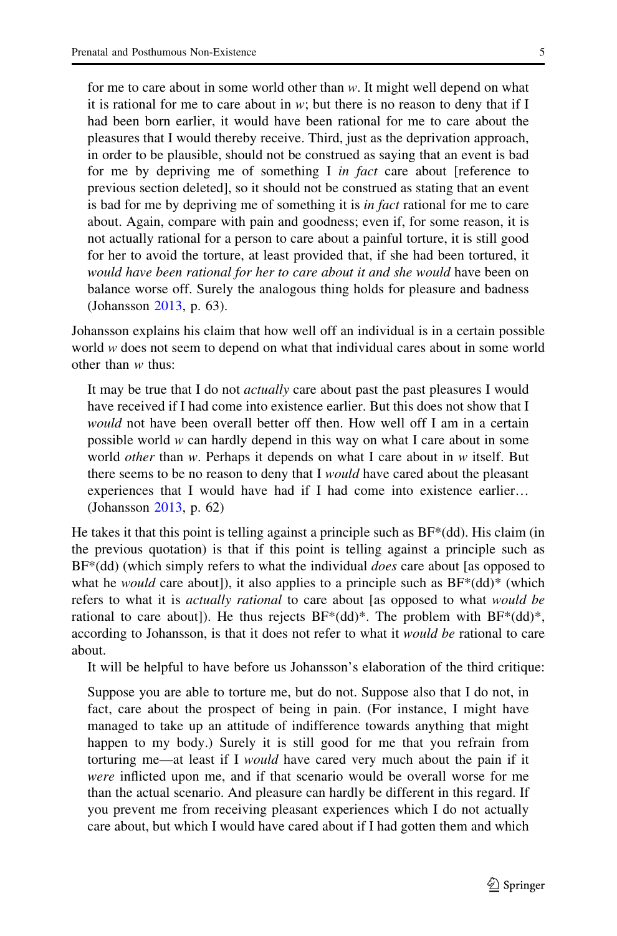for me to care about in some world other than w. It might well depend on what it is rational for me to care about in  $w$ ; but there is no reason to deny that if I had been born earlier, it would have been rational for me to care about the pleasures that I would thereby receive. Third, just as the deprivation approach, in order to be plausible, should not be construed as saying that an event is bad for me by depriving me of something I in fact care about [reference to previous section deleted], so it should not be construed as stating that an event is bad for me by depriving me of something it is *in fact* rational for me to care about. Again, compare with pain and goodness; even if, for some reason, it is not actually rational for a person to care about a painful torture, it is still good for her to avoid the torture, at least provided that, if she had been tortured, it would have been rational for her to care about it and she would have been on balance worse off. Surely the analogous thing holds for pleasure and badness (Johansson [2013,](#page-8-0) p. 63).

Johansson explains his claim that how well off an individual is in a certain possible world w does not seem to depend on what that individual cares about in some world other than  $w$  thus:

It may be true that I do not actually care about past the past pleasures I would have received if I had come into existence earlier. But this does not show that I would not have been overall better off then. How well off I am in a certain possible world w can hardly depend in this way on what I care about in some world *other* than w. Perhaps it depends on what I care about in w itself. But there seems to be no reason to deny that I *would* have cared about the pleasant experiences that I would have had if I had come into existence earlier… (Johansson [2013,](#page-8-0) p. 62)

He takes it that this point is telling against a principle such as  $BF^*(dd)$ . His claim (in the previous quotation) is that if this point is telling against a principle such as  $BF^*(dd)$  (which simply refers to what the individual *does* care about [as opposed to what he *would* care about]), it also applies to a principle such as  $BF*(dd)*$  (which refers to what it is *actually rational* to care about [as opposed to what *would be* rational to care about]). He thus rejects  $BF^*(dd)^*$ . The problem with  $BF^*(dd)^*$ , according to Johansson, is that it does not refer to what it *would be* rational to care about.

It will be helpful to have before us Johansson's elaboration of the third critique:

Suppose you are able to torture me, but do not. Suppose also that I do not, in fact, care about the prospect of being in pain. (For instance, I might have managed to take up an attitude of indifference towards anything that might happen to my body.) Surely it is still good for me that you refrain from torturing me—at least if I would have cared very much about the pain if it were inflicted upon me, and if that scenario would be overall worse for me than the actual scenario. And pleasure can hardly be different in this regard. If you prevent me from receiving pleasant experiences which I do not actually care about, but which I would have cared about if I had gotten them and which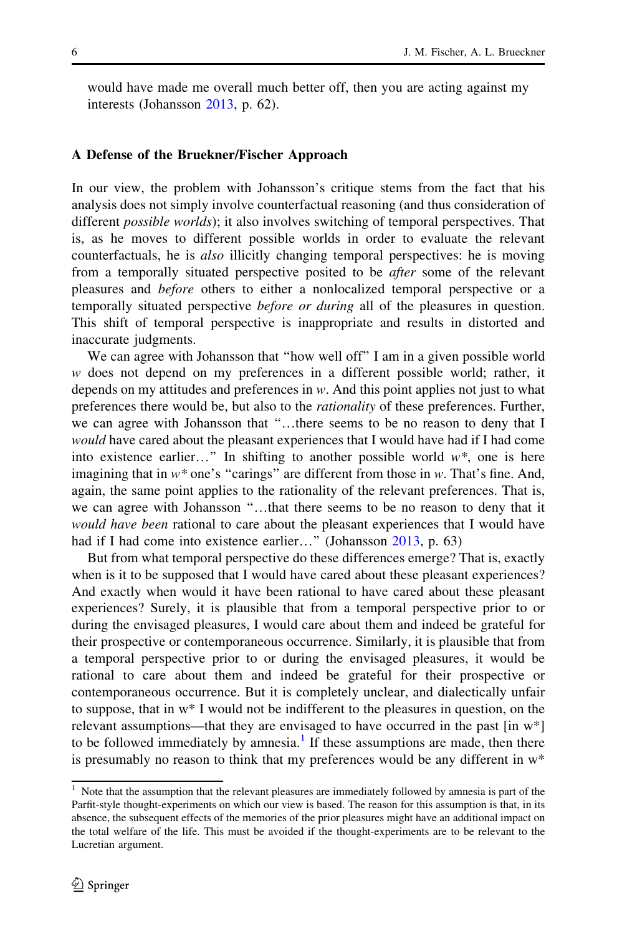would have made me overall much better off, then you are acting against my interests (Johansson [2013,](#page-8-0) p. 62).

#### A Defense of the Bruekner/Fischer Approach

In our view, the problem with Johansson's critique stems from the fact that his analysis does not simply involve counterfactual reasoning (and thus consideration of different *possible worlds*); it also involves switching of temporal perspectives. That is, as he moves to different possible worlds in order to evaluate the relevant counterfactuals, he is also illicitly changing temporal perspectives: he is moving from a temporally situated perspective posited to be *after* some of the relevant pleasures and before others to either a nonlocalized temporal perspective or a temporally situated perspective *before or during* all of the pleasures in question. This shift of temporal perspective is inappropriate and results in distorted and inaccurate judgments.

We can agree with Johansson that ''how well off'' I am in a given possible world w does not depend on my preferences in a different possible world; rather, it depends on my attitudes and preferences in  $w$ . And this point applies not just to what preferences there would be, but also to the rationality of these preferences. Further, we can agree with Johansson that ''…there seems to be no reason to deny that I would have cared about the pleasant experiences that I would have had if I had come into existence earlier..." In shifting to another possible world  $w^*$ , one is here imagining that in  $w^*$  one's "carings" are different from those in  $w$ . That's fine. And, again, the same point applies to the rationality of the relevant preferences. That is, we can agree with Johansson ''…that there seems to be no reason to deny that it would have been rational to care about the pleasant experiences that I would have had if I had come into existence earlier..." (Johansson [2013](#page-8-0), p. 63)

But from what temporal perspective do these differences emerge? That is, exactly when is it to be supposed that I would have cared about these pleasant experiences? And exactly when would it have been rational to have cared about these pleasant experiences? Surely, it is plausible that from a temporal perspective prior to or during the envisaged pleasures, I would care about them and indeed be grateful for their prospective or contemporaneous occurrence. Similarly, it is plausible that from a temporal perspective prior to or during the envisaged pleasures, it would be rational to care about them and indeed be grateful for their prospective or contemporaneous occurrence. But it is completely unclear, and dialectically unfair to suppose, that in w\* I would not be indifferent to the pleasures in question, on the relevant assumptions—that they are envisaged to have occurred in the past [in w\*] to be followed immediately by amnesia.<sup>1</sup> If these assumptions are made, then there is presumably no reason to think that my preferences would be any different in w\*

 $1$  Note that the assumption that the relevant pleasures are immediately followed by amnesia is part of the Parfit-style thought-experiments on which our view is based. The reason for this assumption is that, in its absence, the subsequent effects of the memories of the prior pleasures might have an additional impact on the total welfare of the life. This must be avoided if the thought-experiments are to be relevant to the Lucretian argument.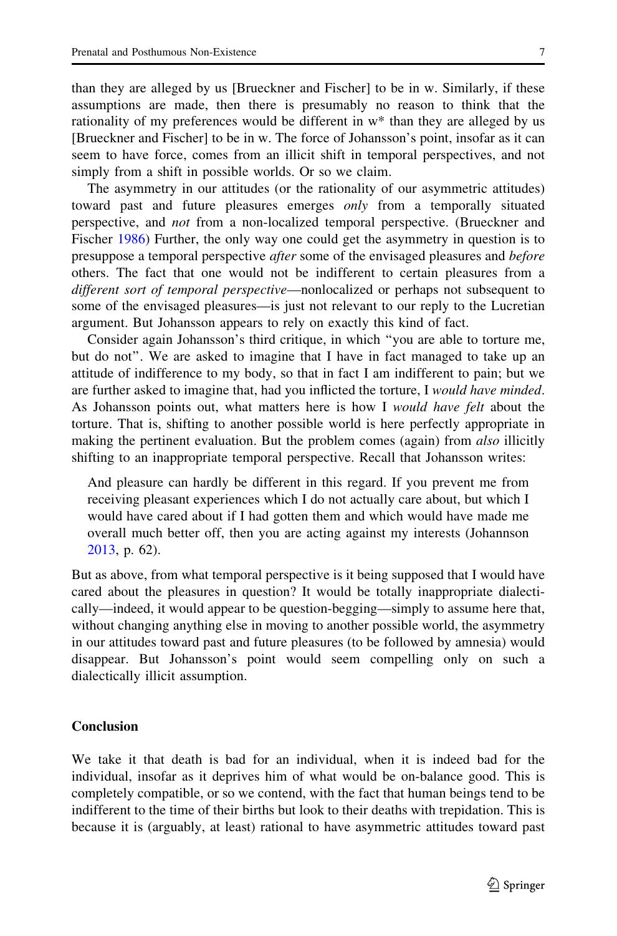than they are alleged by us [Brueckner and Fischer] to be in w. Similarly, if these assumptions are made, then there is presumably no reason to think that the rationality of my preferences would be different in w\* than they are alleged by us [Brueckner and Fischer] to be in w. The force of Johansson's point, insofar as it can seem to have force, comes from an illicit shift in temporal perspectives, and not simply from a shift in possible worlds. Or so we claim.

The asymmetry in our attitudes (or the rationality of our asymmetric attitudes) toward past and future pleasures emerges only from a temporally situated perspective, and not from a non-localized temporal perspective. (Brueckner and Fischer [1986\)](#page-8-0) Further, the only way one could get the asymmetry in question is to presuppose a temporal perspective *after* some of the envisaged pleasures and *before* others. The fact that one would not be indifferent to certain pleasures from a different sort of temporal perspective—nonlocalized or perhaps not subsequent to some of the envisaged pleasures—is just not relevant to our reply to the Lucretian argument. But Johansson appears to rely on exactly this kind of fact.

Consider again Johansson's third critique, in which ''you are able to torture me, but do not''. We are asked to imagine that I have in fact managed to take up an attitude of indifference to my body, so that in fact I am indifferent to pain; but we are further asked to imagine that, had you inflicted the torture, I would have minded. As Johansson points out, what matters here is how I would have felt about the torture. That is, shifting to another possible world is here perfectly appropriate in making the pertinent evaluation. But the problem comes (again) from *also* illicitly shifting to an inappropriate temporal perspective. Recall that Johansson writes:

And pleasure can hardly be different in this regard. If you prevent me from receiving pleasant experiences which I do not actually care about, but which I would have cared about if I had gotten them and which would have made me overall much better off, then you are acting against my interests (Johannson [2013](#page-8-0), p. 62).

But as above, from what temporal perspective is it being supposed that I would have cared about the pleasures in question? It would be totally inappropriate dialectically—indeed, it would appear to be question-begging—simply to assume here that, without changing anything else in moving to another possible world, the asymmetry in our attitudes toward past and future pleasures (to be followed by amnesia) would disappear. But Johansson's point would seem compelling only on such a dialectically illicit assumption.

#### Conclusion

We take it that death is bad for an individual, when it is indeed bad for the individual, insofar as it deprives him of what would be on-balance good. This is completely compatible, or so we contend, with the fact that human beings tend to be indifferent to the time of their births but look to their deaths with trepidation. This is because it is (arguably, at least) rational to have asymmetric attitudes toward past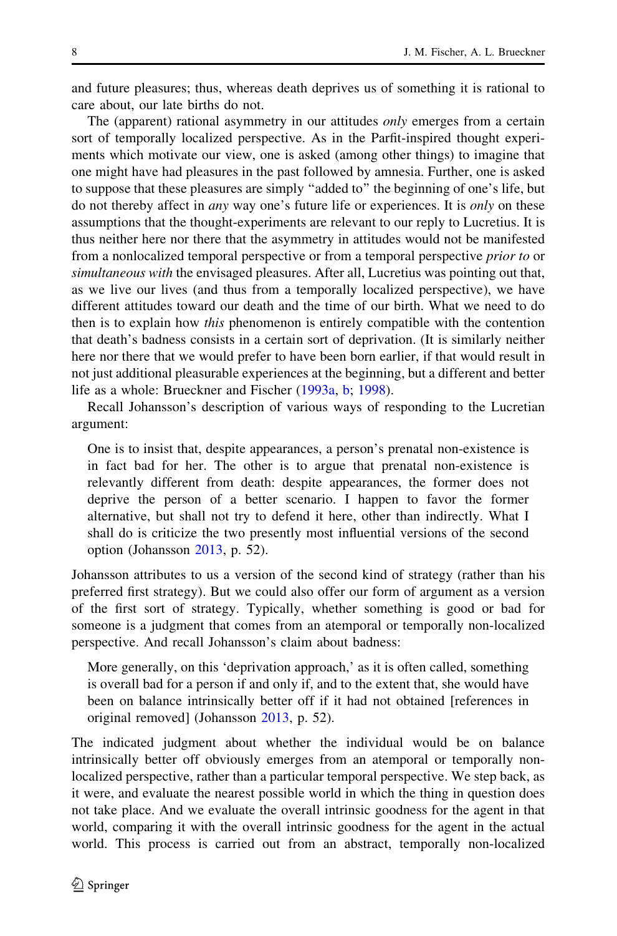and future pleasures; thus, whereas death deprives us of something it is rational to care about, our late births do not.

The (apparent) rational asymmetry in our attitudes only emerges from a certain sort of temporally localized perspective. As in the Parfit-inspired thought experiments which motivate our view, one is asked (among other things) to imagine that one might have had pleasures in the past followed by amnesia. Further, one is asked to suppose that these pleasures are simply ''added to'' the beginning of one's life, but do not thereby affect in *any* way one's future life or experiences. It is *only* on these assumptions that the thought-experiments are relevant to our reply to Lucretius. It is thus neither here nor there that the asymmetry in attitudes would not be manifested from a nonlocalized temporal perspective or from a temporal perspective prior to or simultaneous with the envisaged pleasures. After all, Lucretius was pointing out that, as we live our lives (and thus from a temporally localized perspective), we have different attitudes toward our death and the time of our birth. What we need to do then is to explain how this phenomenon is entirely compatible with the contention that death's badness consists in a certain sort of deprivation. (It is similarly neither here nor there that we would prefer to have been born earlier, if that would result in not just additional pleasurable experiences at the beginning, but a different and better life as a whole: Brueckner and Fischer [\(1993a,](#page-8-0) [b](#page-8-0); [1998\)](#page-8-0).

Recall Johansson's description of various ways of responding to the Lucretian argument:

One is to insist that, despite appearances, a person's prenatal non-existence is in fact bad for her. The other is to argue that prenatal non-existence is relevantly different from death: despite appearances, the former does not deprive the person of a better scenario. I happen to favor the former alternative, but shall not try to defend it here, other than indirectly. What I shall do is criticize the two presently most influential versions of the second option (Johansson [2013,](#page-8-0) p. 52).

Johansson attributes to us a version of the second kind of strategy (rather than his preferred first strategy). But we could also offer our form of argument as a version of the first sort of strategy. Typically, whether something is good or bad for someone is a judgment that comes from an atemporal or temporally non-localized perspective. And recall Johansson's claim about badness:

More generally, on this 'deprivation approach,' as it is often called, something is overall bad for a person if and only if, and to the extent that, she would have been on balance intrinsically better off if it had not obtained [references in original removed] (Johansson [2013](#page-8-0), p. 52).

The indicated judgment about whether the individual would be on balance intrinsically better off obviously emerges from an atemporal or temporally nonlocalized perspective, rather than a particular temporal perspective. We step back, as it were, and evaluate the nearest possible world in which the thing in question does not take place. And we evaluate the overall intrinsic goodness for the agent in that world, comparing it with the overall intrinsic goodness for the agent in the actual world. This process is carried out from an abstract, temporally non-localized